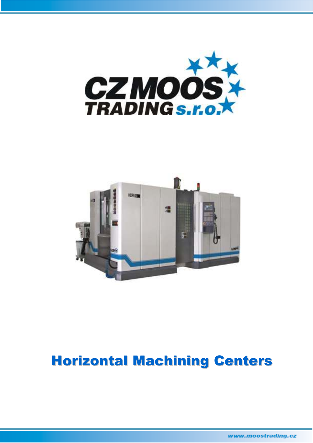



# Horizontal Machining Centers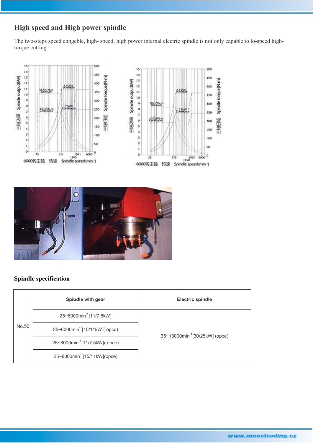# **High speed and High power spindle**

The two-steps speed chngeble, high- speed, high power internal electric spindle is not only capable to lo-speed hightorque cutting





### **Spindle specification**

|       | Spibdle with gear                          | <b>Electric spindle</b>                    |
|-------|--------------------------------------------|--------------------------------------------|
|       | 25~6000min <sup>-1</sup> [11/7.5kW]        |                                            |
| No.50 | 25~6000min <sup>-1</sup> [15/11kW]( opce)  | 35~13000min <sup>-1</sup> [30/25kW] (opce) |
|       | 25~8000min <sup>-1</sup> [11/7.5kW]( opce) |                                            |
|       | 25~8000min <sup>-1</sup> [15/11kW](opce)   |                                            |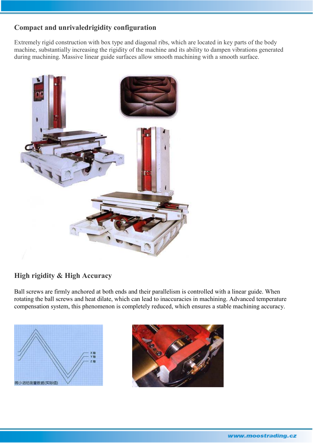### **Compact and unrivaledrigidity configuration**

Extremely rigid construction with box type and diagonal ribs, which are located in key parts of the body machine, substantially increasing the rigidity of the machine and its ability to dampen vibrations generated during machining. Massive linear guide surfaces allow smooth machining with a smooth surface.



### **High rigidity & High Accuracy**

Ball screws are firmly anchored at both ends and their parallelism is controlled with a linear guide. When rotating the ball screws and heat dilate, which can lead to inaccuracies in machining. Advanced temperature compensation system, this phenomenon is completely reduced, which ensures a stable machining accuracy.



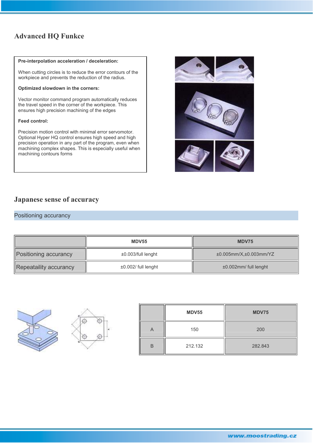### **Advanced HQ Funkce**

#### **Pre-interpolation acceleration / deceleration:**

When cutting circles is to reduce the error contours of the workpiece and prevents the reduction of the radius.

#### **Optimized slowdown in the corners:**

Vector monitor command program automatically reduces the travel speed in the corner of the workpiece. This ensures high precision machining of the edges

#### **Feed control:**

Precision motion control with minimal error servomotor. Optional Hyper HQ control ensures high speed and high precision operation in any part of the program, even when machining complex shapes. This is especially useful when machining contours forms



### **Japanese sense of accuracy**

#### Positioning accurancy

|                        | <b>MDV55</b>              | MDV75                  |
|------------------------|---------------------------|------------------------|
| Positioning accurancy  | ±0.003/full lenght        | ±0.005mm/X,±0.003mm/YZ |
| Repeataility accurancy | $\pm 0.002$ / full lenght | ±0.002mm/ full lenght  |





|   | MDV55   | <b>MDV75</b> |
|---|---------|--------------|
| Α | 150     | 200          |
| B | 212.132 | 282.843      |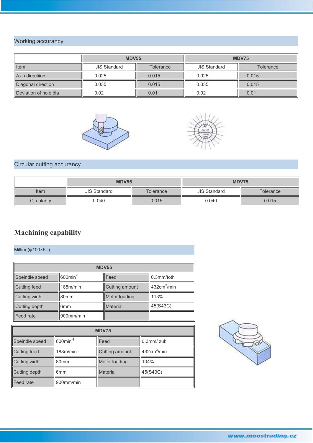# Working accurancy

|                       | <b>MDV55</b>                            |       | MDV75               |                  |  |
|-----------------------|-----------------------------------------|-------|---------------------|------------------|--|
| <b>I</b> tem          | <b>JIS Standard</b><br><b>Tolerance</b> |       | <b>JIS Standard</b> | <b>Tolerance</b> |  |
| Axis directiion       | 0.025                                   | 0.015 | 0.025               | 0.015            |  |
| Diagonal direction    | 0.035                                   | 0.015 | 0.035               | 0.015            |  |
| Deviation of hole dia | 0.02                                    | 0.01  | 0.02                | 0.01             |  |





# Circular cutting accurancy

|             | <b>MDV55</b>                     |  | <b>MDV75</b>                     |       |  |
|-------------|----------------------------------|--|----------------------------------|-------|--|
| Item        | <b>JIS Standard</b><br>Tolerance |  | <b>JIS Standard</b><br>Tolerance |       |  |
| Circularity | 0.040<br>0.015                   |  | 0.040                            | 0.015 |  |

# **Machining capability**

Milling(φ100×5T)

| <b>MDV55</b>             |                         |                 |                         |  |  |
|--------------------------|-------------------------|-----------------|-------------------------|--|--|
| Speindle speed           | $600$ min <sup>-1</sup> | Feed            | 0.3mm/toth              |  |  |
| 188m/min<br>Cutting feed |                         | Cutting amount  | 432cm <sup>3</sup> /min |  |  |
| Cutting widh             | 80 <sub>mm</sub>        | Motor loading   | 113%                    |  |  |
| Cutting depth            | 6 <sub>mm</sub>         | <b>Material</b> | 45(S43C)                |  |  |
| Feed rate                | 900mm/min               |                 |                         |  |  |

| <b>MDV75</b>             |                         |                |                         |  |  |
|--------------------------|-------------------------|----------------|-------------------------|--|--|
| Speindle speed           | $600$ min <sup>-1</sup> | Feed           | $0.3$ mm $/$ zub        |  |  |
| 188m/min<br>Cutting feed |                         | Cutting amount | 432cm <sup>3</sup> /min |  |  |
| Cutting widh             | 80 <sub>mm</sub>        | Motor loading  | 104%                    |  |  |
| Cutting depth            | 6 <sub>mm</sub>         | Material       | 45(S43C)                |  |  |
| Feed rate                | 900mm/min               |                |                         |  |  |

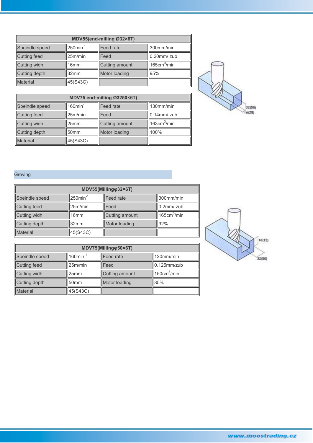| MDV55(end-milling Ø32×6T) |                         |                |                         |  |  |
|---------------------------|-------------------------|----------------|-------------------------|--|--|
| Speindle speed            | $250$ min <sup>-1</sup> | Feed rate      | 300mm/min               |  |  |
| Cutting feed<br>25m/min   |                         | Feed           | $0.20$ mm/ $zub$        |  |  |
| Cutting widh<br>16mm      |                         | Cutting amount | 165cm <sup>3</sup> /min |  |  |
| Cutting depth<br>32mm     |                         | Motor loading  | 95%                     |  |  |
| Material<br>45(S43C)      |                         |                |                         |  |  |

| MDV75 end-milling Ø3250×6T)       |                         |                  |                         |  |  |
|-----------------------------------|-------------------------|------------------|-------------------------|--|--|
| Speindle speed                    | $160$ min <sup>-1</sup> | <b>Feed rate</b> | 130mm/min               |  |  |
| <b>Cutting feed</b><br>25m/min    |                         | Feed             | $0.14$ mm/ $z$ ub       |  |  |
| Cutting widh<br>25 <sub>mm</sub>  |                         | Cutting amount   | 163cm <sup>3</sup> /min |  |  |
| Cutting depth<br>50 <sub>mm</sub> |                         | Motor loading    | 100%                    |  |  |
| Material<br>45(S43C)              |                         |                  |                         |  |  |



### Groving

| MDV55(Milling@32×6T)        |                         |                |                         |  |  |
|-----------------------------|-------------------------|----------------|-------------------------|--|--|
| Speindle speed              | $250$ min <sup>-1</sup> | Feed rate      | 300mm/min               |  |  |
| Cutting feed                | 25m/min                 | Feed           | $0.2$ mm/ $z$ ub        |  |  |
| Cutting widh                | 16 <sub>mm</sub>        | Cutting amount | 165cm <sup>3</sup> /min |  |  |
| Cutting depth               | 32mm                    | Motor loading  | 92%                     |  |  |
| 45(S43C)<br><b>Material</b> |                         |                |                         |  |  |

| MDV75(Millingo50×6T)              |                         |                  |                         |  |  |
|-----------------------------------|-------------------------|------------------|-------------------------|--|--|
| Speindle speed                    | $160$ min <sup>-1</sup> | <b>Feed</b> rate | 120mm/min               |  |  |
| 25m/min<br>Cutting feed           |                         | Feed             | $0.125$ mm/zub          |  |  |
| Cutting widh                      | 25mm                    | Cutting amount   | 150cm <sup>3</sup> /min |  |  |
| Cutting depth<br>50 <sub>mm</sub> |                         | Motor loading    | 85%                     |  |  |
| <b>Material</b>                   | 45(S43C)                |                  |                         |  |  |